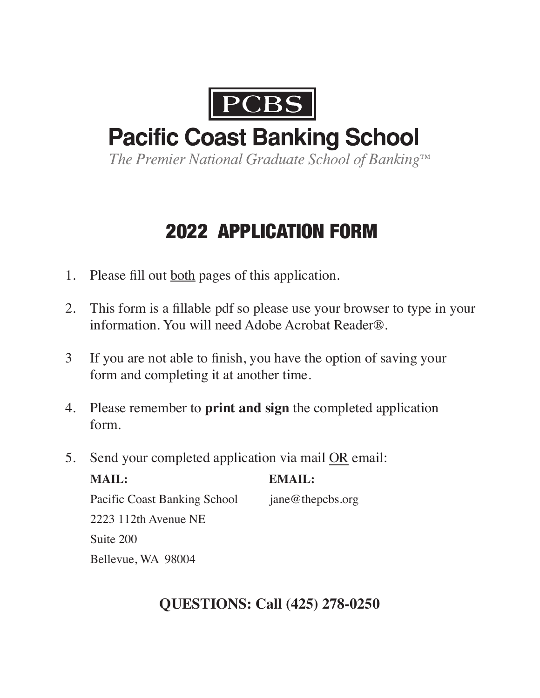

# **Pacific Coast Banking School**

The Premier National Graduate School of Banking™

# 2022 APPLICATION FORM

- 1. Please fill out both pages of this application.
- 2. This form is a fillable pdf so please use your browser to type in your information. You will need Adobe Acrobat Reader®.
- 3 If you are not able to finish, you have the option of saving your form and completing it at another time.
- 4. Please remember to **print and sign** the completed application form.
- 5. Send your completed application via mail OR email:

| MAIL:                               | <b>EMAIL:</b>       |
|-------------------------------------|---------------------|
| <b>Pacific Coast Banking School</b> | $j$ ane@thepcbs.org |
| $2223$ 112th Avenue NE              |                     |
| Suite 200                           |                     |
| Bellevue, WA 98004                  |                     |

# **QUESTIONS: Call (425) 278-0250**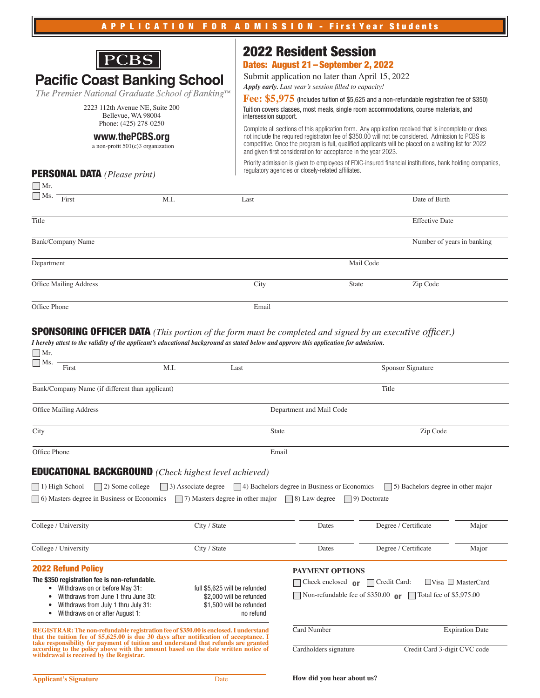

The Premier National Graduate School of Banking™

2223 112th Avenue NE, Suite 200 Bellevue, WA 98004 Phone: (425) 278-0250

### **www.thePCBS.org**

a non-profit 501(c)3 organization

# 2022 Resident Session

# Dates: August 21 – September 2, 2022

Submit application no later than April 15, 2022 *Apply early. Last year's session filled to capacity!*

Tuition covers classes, most meals, single room accommodations, course materials, and intersession support. Fee: \$5,975 (Includes tuition of \$5,625 and a non-refundable registration fee of \$350)

Complete all sections of this application form. Any application received that is incomplete or does not include the required registraton fee of \$350.00 will not be considered. Admission to PCBS is competitive. Once the program is full, qualified applicants will be placed on a waiting list for 2022 and given first consideration for acceptance in the year 2023.

Priority admission is given to employees of FDIC-insured financial institutions, bank holding companies, regulatory agencies or closely-related affiliates.

## PERSONAL DATA *(Please print)*

| $\bigsqcup$ Mr.          |      |       |           |                            |
|--------------------------|------|-------|-----------|----------------------------|
| $\Box$ Ms.<br>First      | M.I. | Last  |           | Date of Birth              |
| Title                    |      |       |           | <b>Effective Date</b>      |
| <b>Bank/Company Name</b> |      |       |           | Number of years in banking |
| Department               |      |       | Mail Code |                            |
| Office Mailing Address   |      | City  | State     | Zip Code                   |
| Office Phone             |      | Email |           |                            |

#### *I hereby attest to the validity of the applicant's educational background as stated below and approve this application for admission.* SPONSORING OFFICER DATA *(This portion of the form must be completed and signed by an executive officer.)*

| $\Box$ Ms.<br>First                                                                                                                                                                                                                                                                                                                                                                                  | M.I.                                                                                                                                                                                                                 | Last                                                                         |                                                                                    | Sponsor Signature                          |       |  |
|------------------------------------------------------------------------------------------------------------------------------------------------------------------------------------------------------------------------------------------------------------------------------------------------------------------------------------------------------------------------------------------------------|----------------------------------------------------------------------------------------------------------------------------------------------------------------------------------------------------------------------|------------------------------------------------------------------------------|------------------------------------------------------------------------------------|--------------------------------------------|-------|--|
| Bank/Company Name (if different than applicant)                                                                                                                                                                                                                                                                                                                                                      |                                                                                                                                                                                                                      |                                                                              |                                                                                    | Title                                      |       |  |
| Office Mailing Address                                                                                                                                                                                                                                                                                                                                                                               |                                                                                                                                                                                                                      |                                                                              | Department and Mail Code                                                           |                                            |       |  |
| City                                                                                                                                                                                                                                                                                                                                                                                                 |                                                                                                                                                                                                                      | State                                                                        | Zip Code                                                                           |                                            |       |  |
| Office Phone                                                                                                                                                                                                                                                                                                                                                                                         |                                                                                                                                                                                                                      | Email                                                                        |                                                                                    |                                            |       |  |
| <b>EDUCATIONAL BACKGROUND</b> (Check highest level achieved)                                                                                                                                                                                                                                                                                                                                         |                                                                                                                                                                                                                      |                                                                              |                                                                                    |                                            |       |  |
| $\Box$ 1) High School<br>$\Box$ 2) Some college                                                                                                                                                                                                                                                                                                                                                      |                                                                                                                                                                                                                      |                                                                              | $\Box$ 3) Associate degree $\Box$ 4) Bachelors degree in Business or Economics     | $\vert$ 5) Bachelors degree in other major |       |  |
| $\Box$ 6) Masters degree in Business or Economics                                                                                                                                                                                                                                                                                                                                                    |                                                                                                                                                                                                                      | $\Box$ 7) Masters degree in other major                                      | $\Box$ 8) Law degree                                                               | $\Box$ 9) Doctorate                        |       |  |
|                                                                                                                                                                                                                                                                                                                                                                                                      |                                                                                                                                                                                                                      |                                                                              |                                                                                    |                                            |       |  |
| College / University                                                                                                                                                                                                                                                                                                                                                                                 |                                                                                                                                                                                                                      | City / State                                                                 | Dates                                                                              | Degree / Certificate                       | Major |  |
| College / University                                                                                                                                                                                                                                                                                                                                                                                 |                                                                                                                                                                                                                      | City / State                                                                 | Dates                                                                              | Degree / Certificate                       | Major |  |
| <b>2022 Refund Policy</b>                                                                                                                                                                                                                                                                                                                                                                            |                                                                                                                                                                                                                      |                                                                              | <b>PAYMENT OPTIONS</b>                                                             |                                            |       |  |
| The \$350 registration fee is non-refundable.                                                                                                                                                                                                                                                                                                                                                        |                                                                                                                                                                                                                      | $\Box$ Visa $\Box$ MasterCard<br>□ Credit Card:<br>Check enclosed $\theta$ r |                                                                                    |                                            |       |  |
| ٠<br>Withdraws on or after August 1:                                                                                                                                                                                                                                                                                                                                                                 | • Withdraws on or before May 31:<br>full \$5,625 will be refunded<br>Withdraws from June 1 thru June 30:<br>\$2,000 will be refunded<br>Withdraws from July 1 thru July 31:<br>\$1,500 will be refunded<br>no refund |                                                                              | Non-refundable fee of \$350.00 $\sigma$<br>Total fee of \$5,975.00<br>$\mathbf{1}$ |                                            |       |  |
| REGISTRAR: The non-refundable registration fee of \$350.00 is enclosed. I understand<br>that the tuition fee of \$5,625.00 is due 30 days after notification of acceptance. I<br>take responsibility for payment of tuition and understand that refunds are granted<br>according to the policy above with the amount based on the date written notice of<br>withdrawal is received by the Registrar. |                                                                                                                                                                                                                      | <b>Card Number</b><br><b>Expiration Date</b>                                 |                                                                                    |                                            |       |  |
|                                                                                                                                                                                                                                                                                                                                                                                                      |                                                                                                                                                                                                                      |                                                                              | Cardholders signature                                                              | Credit Card 3-digit CVC code               |       |  |
| <b>Applicant's Signature</b>                                                                                                                                                                                                                                                                                                                                                                         |                                                                                                                                                                                                                      | Date                                                                         | How did you hear about us?                                                         |                                            |       |  |